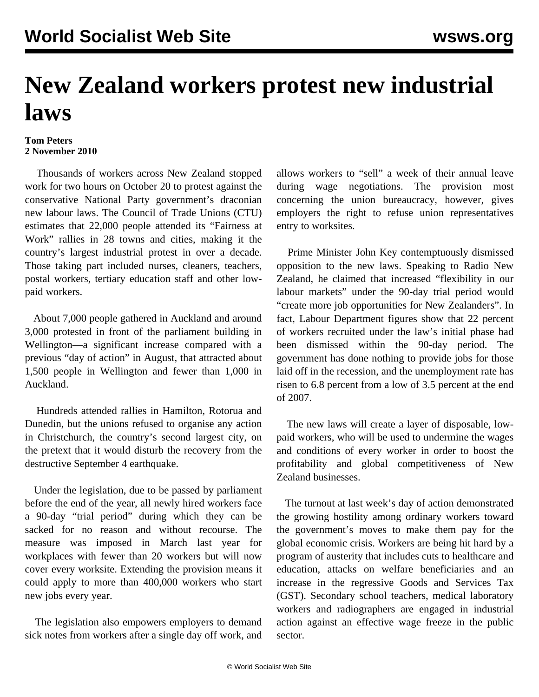## **New Zealand workers protest new industrial laws**

## **Tom Peters 2 November 2010**

 Thousands of workers across New Zealand stopped work for two hours on October 20 to protest against the conservative National Party government's draconian new labour laws. The Council of Trade Unions (CTU) estimates that 22,000 people attended its "Fairness at Work" rallies in 28 towns and cities, making it the country's largest industrial protest in over a decade. Those taking part included nurses, cleaners, teachers, postal workers, tertiary education staff and other lowpaid workers.

 About 7,000 people gathered in Auckland and around 3,000 protested in front of the parliament building in Wellington—a significant increase compared with a previous "day of action" in August, that attracted about 1,500 people in Wellington and fewer than 1,000 in Auckland.

 Hundreds attended rallies in Hamilton, Rotorua and Dunedin, but the unions refused to organise any action in Christchurch, the country's second largest city, on the pretext that it would disturb the recovery from the destructive September 4 earthquake.

 Under the legislation, due to be passed by parliament before the end of the year, all newly hired workers face a 90-day "trial period" during which they can be sacked for no reason and without recourse. The measure was imposed in March last year for workplaces with fewer than 20 workers but will now cover every worksite. Extending the provision means it could apply to more than 400,000 workers who start new jobs every year.

 The legislation also empowers employers to demand sick notes from workers after a single day off work, and allows workers to "sell" a week of their annual leave during wage negotiations. The provision most concerning the union bureaucracy, however, gives employers the right to refuse union representatives entry to worksites.

 Prime Minister John Key contemptuously dismissed opposition to the new laws. Speaking to Radio New Zealand, he claimed that increased "flexibility in our labour markets" under the 90-day trial period would "create more job opportunities for New Zealanders". In fact, Labour Department figures show that 22 percent of workers recruited under the law's initial phase had been dismissed within the 90-day period. The government has done nothing to provide jobs for those laid off in the recession, and the unemployment rate has risen to 6.8 percent from a low of 3.5 percent at the end of 2007.

 The new laws will create a layer of disposable, lowpaid workers, who will be used to undermine the wages and conditions of every worker in order to boost the profitability and global competitiveness of New Zealand businesses.

 The turnout at last week's day of action demonstrated the growing hostility among ordinary workers toward the government's moves to make them pay for the global economic crisis. Workers are being hit hard by a program of austerity that includes cuts to healthcare and education, attacks on welfare beneficiaries and an increase in the regressive Goods and Services Tax (GST). Secondary school teachers, medical laboratory workers and radiographers are engaged in industrial action against an effective wage freeze in the public sector.